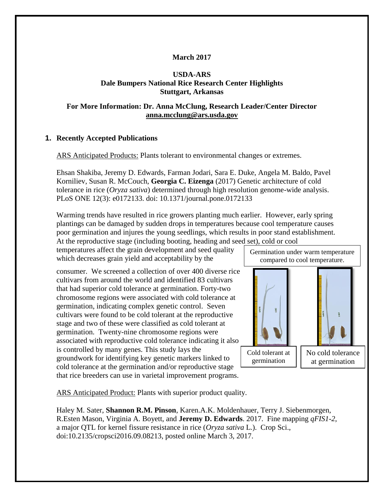# **March 2017**

### **USDA-ARS Dale Bumpers National Rice Research Center Highlights Stuttgart, Arkansas**

### **For More Information: Dr. Anna McClung, Research Leader/Center Director [anna.mcclung@ars.usda.gov](mailto:anna.mcclung@ars.usda.gov)**

### **1. Recently Accepted Publications**

ARS Anticipated Products: Plants tolerant to environmental changes or extremes.

Ehsan Shakiba, Jeremy D. Edwards, Farman Jodari, Sara E. Duke, Angela M. Baldo, Pavel Korniliev, Susan R. McCouch, **Georgia C. Eizenga** (2017) Genetic architecture of cold tolerance in rice (*Oryza sativa*) determined through high resolution genome-wide analysis. PLoS ONE 12(3): e0172133. doi: 10.1371/journal.pone.0172133

Warming trends have resulted in rice growers planting much earlier. However, early spring plantings can be damaged by sudden drops in temperatures because cool temperature causes poor germination and injures the young seedlings, which results in poor stand establishment. At the reproductive stage (including booting, heading and seed set), cold or cool

temperatures affect the grain development and seed quality which decreases grain yield and acceptability by the

consumer. We screened a collection of over 400 diverse rice cultivars from around the world and identified 83 cultivars that had superior cold tolerance at germination. Forty-two chromosome regions were associated with cold tolerance at germination, indicating complex genetic control. Seven cultivars were found to be cold tolerant at the reproductive stage and two of these were classified as cold tolerant at germination. Twenty-nine chromosome regions were associated with reproductive cold tolerance indicating it also is controlled by many genes. This study lays the groundwork for identifying key genetic markers linked to cold tolerance at the germination and/or reproductive stage that rice breeders can use in varietal improvement programs.

Germination under warm temperature compared to cool temperature.



Cold tolerant at germination

No cold tolerance at germination

ARS Anticipated Product: Plants with superior product quality.

Haley M. Sater, **Shannon R.M. Pinson**, Karen.A.K. Moldenhauer, Terry J. Siebenmorgen, R.Esten Mason, Virginia A. Boyett, and **Jeremy D. Edwards**. 2017. Fine mapping *qFIS1-2*, a major QTL for kernel fissure resistance in rice (*Oryza sativa* L.). Crop Sci., doi:10.2135/cropsci2016.09.08213, posted online March 3, 2017.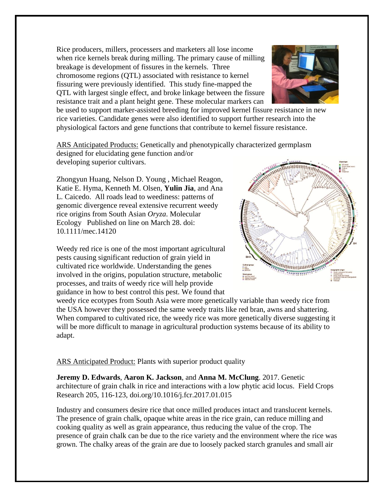Rice producers, millers, processers and marketers all lose income when rice kernels break during milling. The primary cause of milling breakage is development of fissures in the kernels. Three chromosome regions (QTL) associated with resistance to kernel fissuring were previously identified. This study fine-mapped the QTL with largest single effect, and broke linkage between the fissure resistance trait and a plant height gene. These molecular markers can



be used to support marker-assisted breeding for improved kernel fissure resistance in new rice varieties. Candidate genes were also identified to support further research into the physiological factors and gene functions that contribute to kernel fissure resistance.

ARS Anticipated Products: Genetically and phenotypically characterized germplasm designed for elucidating gene function and/or

developing superior cultivars.

Zhongyun Huang, Nelson D. Young , Michael Reagon, Katie E. Hyma, Kenneth M. Olsen, **Yulin Jia**, and Ana L. Caicedo. All roads lead to weediness: patterns of genomic divergence reveal extensive recurrent weedy rice origins from South Asian *Oryza*. Molecular Ecology Published on line on March 28. doi: 10.1111/mec.14120

Weedy red rice is one of the most important agricultural pests causing significant reduction of grain yield in cultivated rice worldwide. Understanding the genes involved in the origins, population structure, metabolic processes, and traits of weedy rice will help provide guidance in how to best control this pest. We found that



weedy rice ecotypes from South Asia were more genetically variable than weedy rice from the USA however they possessed the same weedy traits like red bran, awns and shattering. When compared to cultivated rice, the weedy rice was more genetically diverse suggesting it will be more difficult to manage in agricultural production systems because of its ability to adapt.

ARS Anticipated Product: Plants with superior product quality

**Jeremy D. Edwards**, **Aaron K. Jackson**, and **Anna M. McClung**. 2017. Genetic architecture of grain chalk in rice and interactions with a low phytic acid locus. Field Crops Research 205, 116-123, doi.org/10.1016/j.fcr.2017.01.015

Industry and consumers desire rice that once milled produces intact and translucent kernels. The presence of grain chalk, opaque white areas in the rice grain, can reduce milling and cooking quality as well as grain appearance, thus reducing the value of the crop. The presence of grain chalk can be due to the rice variety and the environment where the rice was grown. The chalky areas of the grain are due to loosely packed starch granules and small air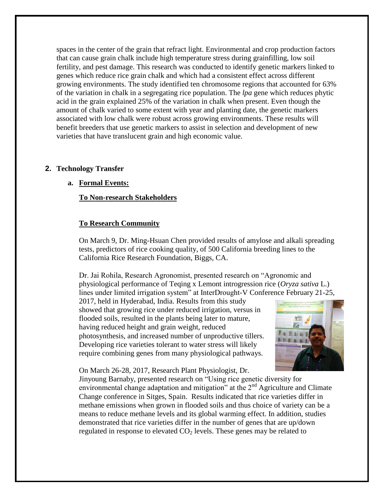spaces in the center of the grain that refract light. Environmental and crop production factors that can cause grain chalk include high temperature stress during grainfilling, low soil fertility, and pest damage. This research was conducted to identify genetic markers linked to genes which reduce rice grain chalk and which had a consistent effect across different growing environments. The study identified ten chromosome regions that accounted for 63% of the variation in chalk in a segregating rice population. The *lpa* gene which reduces phytic acid in the grain explained 25% of the variation in chalk when present. Even though the amount of chalk varied to some extent with year and planting date, the genetic markers associated with low chalk were robust across growing environments. These results will benefit breeders that use genetic markers to assist in selection and development of new varieties that have translucent grain and high economic value.

#### **2. Technology Transfer**

#### **a. Formal Events:**

#### **To Non-research Stakeholders**

#### **To Research Community**

On March 9, Dr. Ming-Hsuan Chen provided results of amylose and alkali spreading tests, predictors of rice cooking quality, of 500 California breeding lines to the California Rice Research Foundation, Biggs, CA.

Dr. Jai Rohila, Research Agronomist, presented research on "Agronomic and physiological performance of Teqing x Lemont introgression rice (*Oryza sativa* L.) lines under limited irrigation system" at InterDrought-V Conference February 21-25,

2017, held in Hyderabad, India. Results from this study showed that growing rice under reduced irrigation, versus in flooded soils, resulted in the plants being later to mature, having reduced height and grain weight, reduced photosynthesis, and increased number of unproductive tillers. Developing rice varieties tolerant to water stress will likely require combining genes from many physiological pathways.



On March 26-28, 2017, Research Plant Physiologist, Dr.

Jinyoung Barnaby, presented research on "Using rice genetic diversity for environmental change adaptation and mitigation" at the  $2<sup>nd</sup>$  Agriculture and Climate Change conference in Sitges, Spain. Results indicated that rice varieties differ in methane emissions when grown in flooded soils and thus choice of variety can be a means to reduce methane levels and its global warming effect. In addition, studies demonstrated that rice varieties differ in the number of genes that are up/down regulated in response to elevated  $CO<sub>2</sub>$  levels. These genes may be related to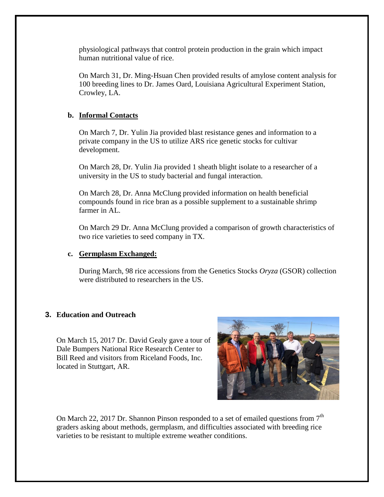physiological pathways that control protein production in the grain which impact human nutritional value of rice.

On March 31, Dr. Ming-Hsuan Chen provided results of amylose content analysis for 100 breeding lines to Dr. James Oard, Louisiana Agricultural Experiment Station, Crowley, LA.

## **b. Informal Contacts**

On March 7, Dr. Yulin Jia provided blast resistance genes and information to a private company in the US to utilize ARS rice genetic stocks for cultivar development.

On March 28, Dr. Yulin Jia provided 1 sheath blight isolate to a researcher of a university in the US to study bacterial and fungal interaction.

On March 28, Dr. Anna McClung provided information on health beneficial compounds found in rice bran as a possible supplement to a sustainable shrimp farmer in AL.

On March 29 Dr. Anna McClung provided a comparison of growth characteristics of two rice varieties to seed company in TX.

### **c. Germplasm Exchanged:**

During March, 98 rice accessions from the Genetics Stocks *Oryza* (GSOR) collection were distributed to researchers in the US.

# **3. Education and Outreach**

On March 15, 2017 Dr. David Gealy gave a tour of Dale Bumpers National Rice Research Center to Bill Reed and visitors from Riceland Foods, Inc. located in Stuttgart, AR.



On March 22, 2017 Dr. Shannon Pinson responded to a set of emailed questions from  $7<sup>th</sup>$ graders asking about methods, germplasm, and difficulties associated with breeding rice varieties to be resistant to multiple extreme weather conditions.